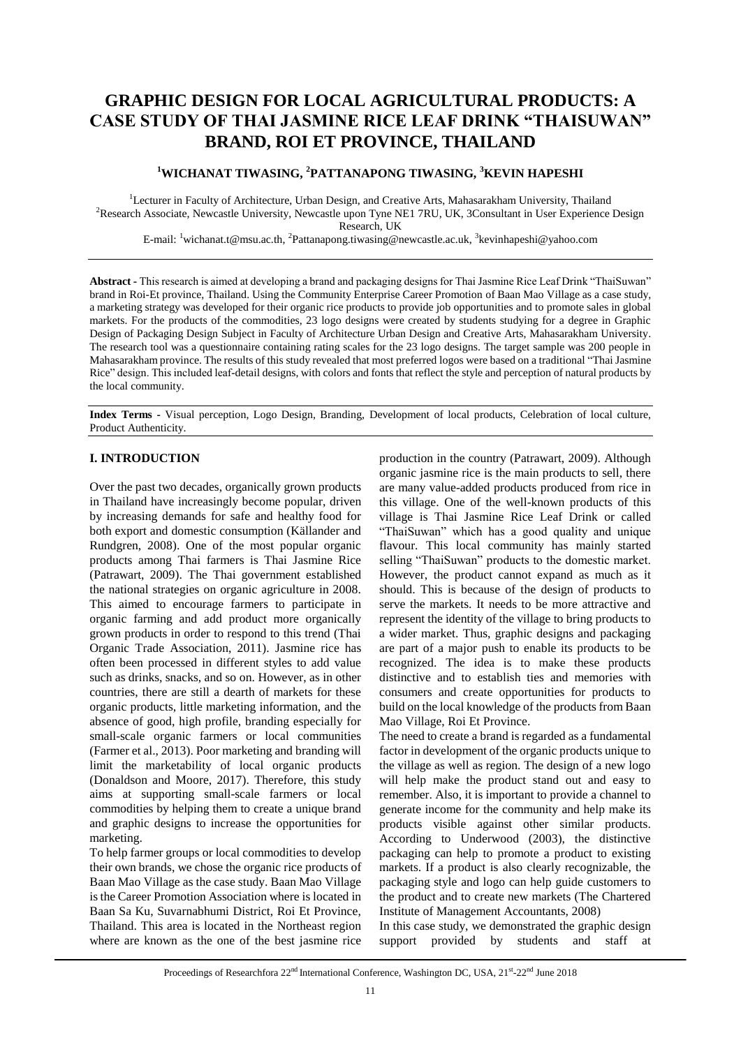# **GRAPHIC DESIGN FOR LOCAL AGRICULTURAL PRODUCTS: A CASE STUDY OF THAI JASMINE RICE LEAF DRINK "THAISUWAN" BRAND, ROI ET PROVINCE, THAILAND**

# **<sup>1</sup>WICHANAT TIWASING, <sup>2</sup>PATTANAPONG TIWASING, <sup>3</sup>KEVIN HAPESHI**

<sup>1</sup>Lecturer in Faculty of Architecture, Urban Design, and Creative Arts, Mahasarakham University, Thailand <sup>2</sup>Research Associate, Newcastle University, Newcastle upon Tyne NE1 7RU, UK, 3Consultant in User Experience Design Research, UK

E-mail: <sup>1</sup>wichanat.t@msu.ac.th, <sup>2</sup>Pattanapong.tiwasing@newcastle.ac.uk, <sup>3</sup>kevinhapeshi@yahoo.com

**Abstract -** This research is aimed at developing a brand and packaging designs for Thai Jasmine Rice Leaf Drink "ThaiSuwan" brand in Roi-Et province, Thailand. Using the Community Enterprise Career Promotion of Baan Mao Village as a case study, a marketing strategy was developed for their organic rice products to provide job opportunities and to promote sales in global markets. For the products of the commodities, 23 logo designs were created by students studying for a degree in Graphic Design of Packaging Design Subject in Faculty of Architecture Urban Design and Creative Arts, Mahasarakham University. The research tool was a questionnaire containing rating scales for the 23 logo designs. The target sample was 200 people in Mahasarakham province. The results of this study revealed that most preferred logos were based on a traditional "Thai Jasmine Rice" design. This included leaf-detail designs, with colors and fonts that reflect the style and perception of natural products by the local community.

**Index Terms -** Visual perception, Logo Design, Branding, Development of local products, Celebration of local culture, Product Authenticity.

## **I. INTRODUCTION**

Over the past two decades, organically grown products in Thailand have increasingly become popular, driven by increasing demands for safe and healthy food for both export and domestic consumption (Källander and Rundgren, 2008). One of the most popular organic products among Thai farmers is Thai Jasmine Rice (Patrawart, 2009). The Thai government established the national strategies on organic agriculture in 2008. This aimed to encourage farmers to participate in organic farming and add product more organically grown products in order to respond to this trend (Thai Organic Trade Association, 2011). Jasmine rice has often been processed in different styles to add value such as drinks, snacks, and so on. However, as in other countries, there are still a dearth of markets for these organic products, little marketing information, and the absence of good, high profile, branding especially for small-scale organic farmers or local communities (Farmer et al., 2013). Poor marketing and branding will limit the marketability of local organic products (Donaldson and Moore, 2017). Therefore, this study aims at supporting small-scale farmers or local commodities by helping them to create a unique brand and graphic designs to increase the opportunities for marketing.

To help farmer groups or local commodities to develop their own brands, we chose the organic rice products of Baan Mao Village as the case study. Baan Mao Village is the Career Promotion Association where is located in Baan Sa Ku, Suvarnabhumi District, Roi Et Province, Thailand. This area is located in the Northeast region where are known as the one of the best jasmine rice

production in the country (Patrawart, 2009). Although organic jasmine rice is the main products to sell, there are many value-added products produced from rice in this village. One of the well-known products of this village is Thai Jasmine Rice Leaf Drink or called "ThaiSuwan" which has a good quality and unique flavour. This local community has mainly started selling "ThaiSuwan" products to the domestic market. However, the product cannot expand as much as it should. This is because of the design of products to serve the markets. It needs to be more attractive and represent the identity of the village to bring products to a wider market. Thus, graphic designs and packaging are part of a major push to enable its products to be recognized. The idea is to make these products distinctive and to establish ties and memories with consumers and create opportunities for products to build on the local knowledge of the products from Baan Mao Village, Roi Et Province.

The need to create a brand is regarded as a fundamental factor in development of the organic products unique to the village as well as region. The design of a new logo will help make the product stand out and easy to remember. Also, it is important to provide a channel to generate income for the community and help make its products visible against other similar products. According to Underwood (2003), the distinctive packaging can help to promote a product to existing markets. If a product is also clearly recognizable, the packaging style and logo can help guide customers to the product and to create new markets (The Chartered Institute of Management Accountants, 2008)

In this case study, we demonstrated the graphic design support provided by students and staff at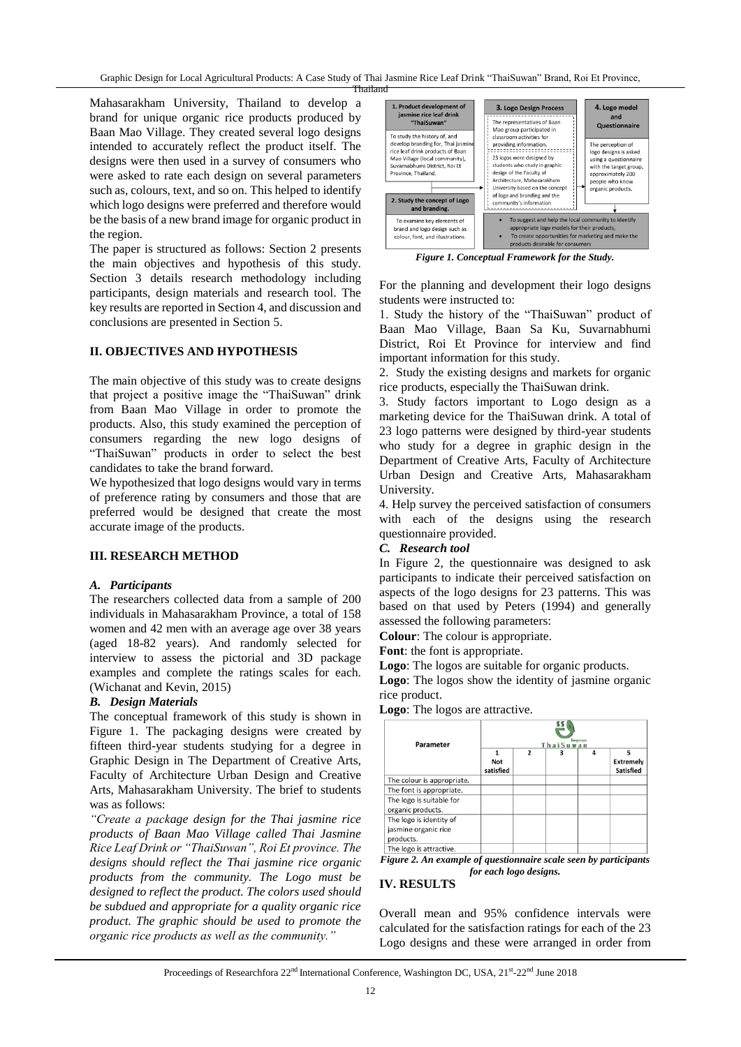Graphic Design for Local Agricultural Products: A Case Study of Thai Jasmine Rice Leaf Drink "ThaiSuwan" Brand, Roi Et Province,

Mahasarakham University, Thailand to develop a brand for unique organic rice products produced by Baan Mao Village. They created several logo designs intended to accurately reflect the product itself. The designs were then used in a survey of consumers who were asked to rate each design on several parameters such as, colours, text, and so on. This helped to identify which logo designs were preferred and therefore would be the basis of a new brand image for organic product in the region.

The paper is structured as follows: Section 2 presents the main objectives and hypothesis of this study. Section 3 details research methodology including participants, design materials and research tool. The key results are reported in Section 4, and discussion and conclusions are presented in Section 5.

## **II. OBJECTIVES AND HYPOTHESIS**

The main objective of this study was to create designs that project a positive image the "ThaiSuwan" drink from Baan Mao Village in order to promote the products. Also, this study examined the perception of consumers regarding the new logo designs of "ThaiSuwan" products in order to select the best candidates to take the brand forward.

We hypothesized that logo designs would vary in terms of preference rating by consumers and those that are preferred would be designed that create the most accurate image of the products.

### **III. RESEARCH METHOD**

### *A. Participants*

The researchers collected data from a sample of 200 individuals in Mahasarakham Province, a total of 158 women and 42 men with an average age over 38 years (aged 18-82 years). And randomly selected for interview to assess the pictorial and 3D package examples and complete the ratings scales for each. (Wichanat and Kevin, 2015)

## *B. Design Materials*

The conceptual framework of this study is shown in Figure 1. The packaging designs were created by fifteen third-year students studying for a degree in Graphic Design in The Department of Creative Arts, Faculty of Architecture Urban Design and Creative Arts, Mahasarakham University. The brief to students was as follows:

*"Create a package design for the Thai jasmine rice products of Baan Mao Village called Thai Jasmine Rice Leaf Drink or "ThaiSuwan", Roi Et province. The designs should reflect the Thai jasmine rice organic products from the community. The Logo must be designed to reflect the product. The colors used should be subdued and appropriate for a quality organic rice product. The graphic should be used to promote the organic rice products as well as the community."*



*Figure 1. Conceptual Framework for the Study.*

For the planning and development their logo designs students were instructed to:

1. Study the history of the "ThaiSuwan" product of Baan Mao Village, Baan Sa Ku, Suvarnabhumi District, Roi Et Province for interview and find important information for this study.

2. Study the existing designs and markets for organic rice products, especially the ThaiSuwan drink.

3. Study factors important to Logo design as a marketing device for the ThaiSuwan drink. A total of 23 logo patterns were designed by third-year students who study for a degree in graphic design in the Department of Creative Arts, Faculty of Architecture Urban Design and Creative Arts, Mahasarakham University.

4. Help survey the perceived satisfaction of consumers with each of the designs using the research questionnaire provided.

### *C. Research tool*

In Figure 2, the questionnaire was designed to ask participants to indicate their perceived satisfaction on aspects of the logo designs for 23 patterns. This was based on that used by Peters (1994) and generally assessed the following parameters:

**Colour**: The colour is appropriate.

**Font**: the font is appropriate.

**Logo**: The logos are suitable for organic products.

**Logo**: The logos show the identity of jasmine organic rice product.

**Logo**: The logos are attractive.



*for each logo designs.*

## **IV. RESULTS**

Overall mean and 95% confidence intervals were calculated for the satisfaction ratings for each of the 23 Logo designs and these were arranged in order from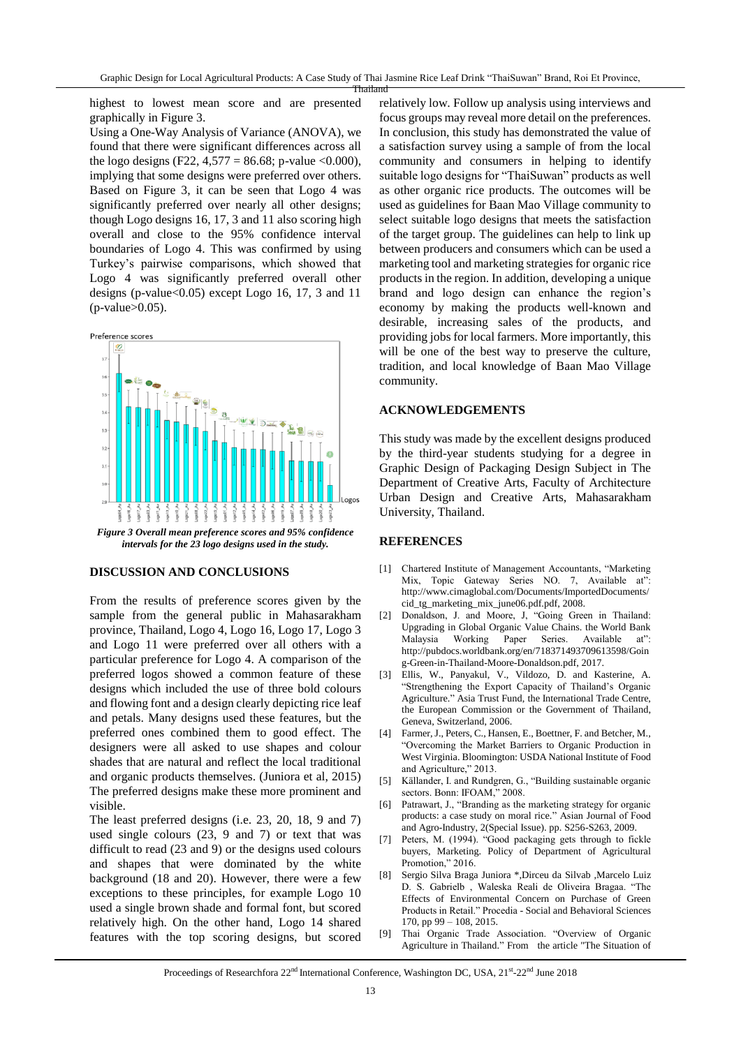highest to lowest mean score and are presented graphically in Figure 3.

Using a One-Way Analysis of Variance (ANOVA), we found that there were significant differences across all the logo designs (F22, 4,577 = 86.68; p-value <0.000), implying that some designs were preferred over others. Based on Figure 3, it can be seen that Logo 4 was significantly preferred over nearly all other designs; though Logo designs 16, 17, 3 and 11 also scoring high overall and close to the 95% confidence interval boundaries of Logo 4. This was confirmed by using Turkey's pairwise comparisons, which showed that Logo 4 was significantly preferred overall other designs (p-value $< 0.05$ ) except Logo 16, 17, 3 and 11  $(p-value>0.05)$ .



*Figure 3 Overall mean preference scores and 95% confidence intervals for the 23 logo designs used in the study.*

#### **DISCUSSION AND CONCLUSIONS**

From the results of preference scores given by the sample from the general public in Mahasarakham province, Thailand, Logo 4, Logo 16, Logo 17, Logo 3 and Logo 11 were preferred over all others with a particular preference for Logo 4. A comparison of the preferred logos showed a common feature of these designs which included the use of three bold colours and flowing font and a design clearly depicting rice leaf and petals. Many designs used these features, but the preferred ones combined them to good effect. The designers were all asked to use shapes and colour shades that are natural and reflect the local traditional and organic products themselves. (Juniora et al, 2015) The preferred designs make these more prominent and visible.

The least preferred designs (i.e. 23, 20, 18, 9 and 7) used single colours (23, 9 and 7) or text that was difficult to read (23 and 9) or the designs used colours and shapes that were dominated by the white background (18 and 20). However, there were a few exceptions to these principles, for example Logo 10 used a single brown shade and formal font, but scored relatively high. On the other hand, Logo 14 shared features with the top scoring designs, but scored relatively low. Follow up analysis using interviews and focus groups may reveal more detail on the preferences. In conclusion, this study has demonstrated the value of a satisfaction survey using a sample of from the local community and consumers in helping to identify suitable logo designs for "ThaiSuwan" products as well as other organic rice products. The outcomes will be used as guidelines for Baan Mao Village community to select suitable logo designs that meets the satisfaction of the target group. The guidelines can help to link up between producers and consumers which can be used a marketing tool and marketing strategies for organic rice products in the region. In addition, developing a unique brand and logo design can enhance the region's economy by making the products well-known and desirable, increasing sales of the products, and providing jobs for local farmers. More importantly, this will be one of the best way to preserve the culture, tradition, and local knowledge of Baan Mao Village community.

### **ACKNOWLEDGEMENTS**

This study was made by the excellent designs produced by the third-year students studying for a degree in Graphic Design of Packaging Design Subject in The Department of Creative Arts, Faculty of Architecture Urban Design and Creative Arts, Mahasarakham University, Thailand.

#### **REFERENCES**

- [1] Chartered Institute of Management Accountants, "Marketing Mix, Topic Gateway Series NO. 7, Available at": http://www.cimaglobal.com/Documents/ImportedDocuments/ cid\_tg\_marketing\_mix\_june06.pdf.pdf, 2008.
- [2] Donaldson, J. and Moore, J, "Going Green in Thailand: Upgrading in Global Organic Value Chains. the World Bank Malaysia Working Paper Series. Available at": [http://pubdocs.worldbank.org/en/718371493709613598/Goin](http://pubdocs.worldbank.org/en/718371493709613598/Going-Green-in-Thailand-Moore-Donaldson.pdf) [g-Green-in-Thailand-Moore-Donaldson.pdf,](http://pubdocs.worldbank.org/en/718371493709613598/Going-Green-in-Thailand-Moore-Donaldson.pdf) 2017.
- [3] Ellis, W., Panyakul, V., Vildozo, D. and Kasterine, A. "Strengthening the Export Capacity of Thailand's Organic Agriculture." Asia Trust Fund, the International Trade Centre, the European Commission or the Government of Thailand, Geneva, Switzerland, 2006.
- [4] Farmer, J., Peters, C., Hansen, E., Boettner, F. and Betcher, M., "Overcoming the Market Barriers to Organic Production in West Virginia. Bloomington: USDA National Institute of Food and Agriculture," 2013.
- [5] Källander, I. and Rundgren, G., "Building sustainable organic sectors. Bonn: IFOAM," 2008.
- [6] Patrawart, J., "Branding as the marketing strategy for organic products: a case study on moral rice." Asian Journal of Food and Agro-Industry, 2(Special Issue). pp. S256-S263, 2009.
- [7] Peters, M. (1994). "Good packaging gets through to fickle buyers, Marketing. Policy of Department of Agricultural Promotion," 2016.
- [8] Sergio Silva Braga Juniora \*,Dirceu da Silvab ,Marcelo Luiz D. S. Gabrielb , Waleska Reali de Oliveira Bragaa. "The Effects of Environmental Concern on Purchase of Green Products in Retail." Procedia - Social and Behavioral Sciences 170, pp 99 – 108, 2015.
- [9] Thai Organic Trade Association. "Overview of Organic Agriculture in Thailand." From the article "The Situation of